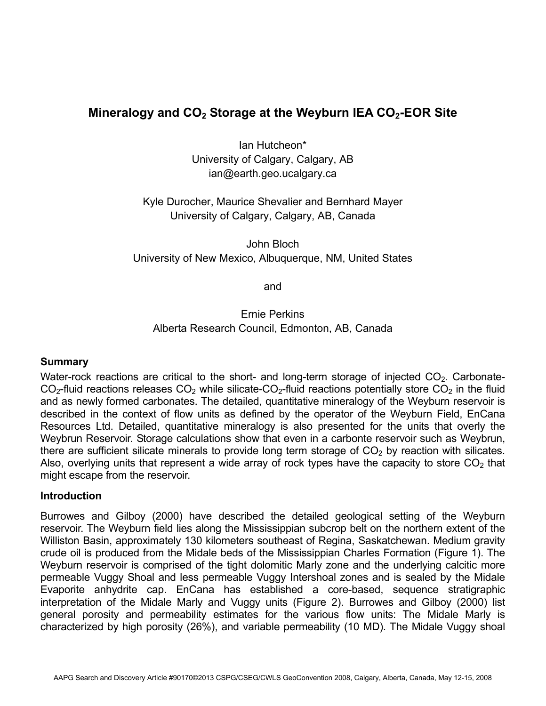# **Mineralogy and CO2 Storage at the Weyburn IEA CO2-EOR Site**

Ian Hutcheon\* University of Calgary, Calgary, AB ian@earth.geo.ucalgary.ca

Kyle Durocher, Maurice Shevalier and Bernhard Mayer University of Calgary, Calgary, AB, Canada

John Bloch University of New Mexico, Albuquerque, NM, United States

and

Ernie Perkins Alberta Research Council, Edmonton, AB, Canada

## **Summary**

Water-rock reactions are critical to the short- and long-term storage of injected  $CO<sub>2</sub>$ . Carbonate- $CO<sub>2</sub>$ -fluid reactions releases  $CO<sub>2</sub>$  while silicate-CO<sub>2</sub>-fluid reactions potentially store  $CO<sub>2</sub>$  in the fluid and as newly formed carbonates. The detailed, quantitative mineralogy of the Weyburn reservoir is described in the context of flow units as defined by the operator of the Weyburn Field, EnCana Resources Ltd. Detailed, quantitative mineralogy is also presented for the units that overly the Weybrun Reservoir. Storage calculations show that even in a carbonte reservoir such as Weybrun, there are sufficient silicate minerals to provide long term storage of  $CO<sub>2</sub>$  by reaction with silicates. Also, overlying units that represent a wide array of rock types have the capacity to store  $CO<sub>2</sub>$  that might escape from the reservoir.

#### **Introduction**

Burrowes and Gilboy (2000) have described the detailed geological setting of the Weyburn reservoir. The Weyburn field lies along the Mississippian subcrop belt on the northern extent of the Williston Basin, approximately 130 kilometers southeast of Regina, Saskatchewan. Medium gravity crude oil is produced from the Midale beds of the Mississippian Charles Formation (Figure 1). The Weyburn reservoir is comprised of the tight dolomitic Marly zone and the underlying calcitic more permeable Vuggy Shoal and less permeable Vuggy Intershoal zones and is sealed by the Midale Evaporite anhydrite cap. EnCana has established a core-based, sequence stratigraphic interpretation of the Midale Marly and Vuggy units (Figure 2). Burrowes and Gilboy (2000) list general porosity and permeability estimates for the various flow units: The Midale Marly is characterized by high porosity (26%), and variable permeability (10 MD). The Midale Vuggy shoal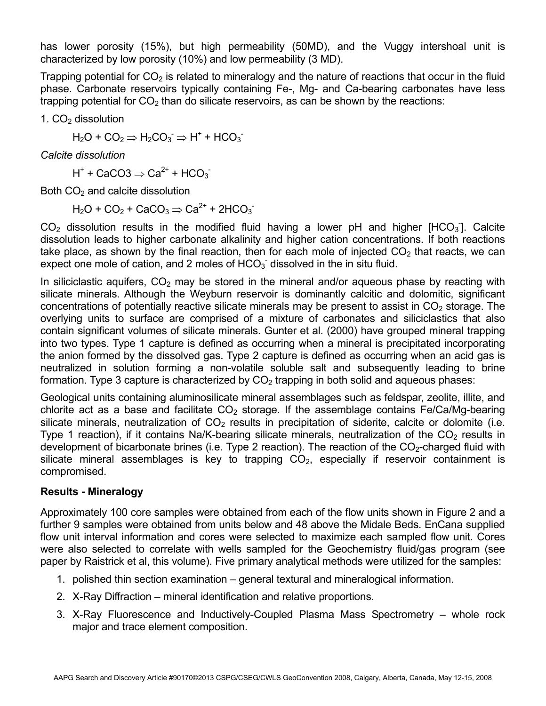has lower porosity (15%), but high permeability (50MD), and the Vuggy intershoal unit is characterized by low porosity (10%) and low permeability (3 MD).

Trapping potential for  $CO<sub>2</sub>$  is related to mineralogy and the nature of reactions that occur in the fluid phase. Carbonate reservoirs typically containing Fe-, Mg- and Ca-bearing carbonates have less trapping potential for  $CO<sub>2</sub>$  than do silicate reservoirs, as can be shown by the reactions:

1.  $CO<sub>2</sub>$  dissolution

 $H_2O + CO_2 \Rightarrow H_2CO_3^- \Rightarrow H^+ + HCO_3^-$ 

*Calcite dissolution* 

H<sup>+</sup> + CaCO3  $\Rightarrow$  Ca<sup>2+</sup> + HCO<sub>3</sub>

Both  $CO<sub>2</sub>$  and calcite dissolution

 $H_2O$  + CO<sub>2</sub> + CaCO<sub>3</sub>  $\Rightarrow$  Ca<sup>2+</sup> + 2HCO<sub>3</sub>

 $CO<sub>2</sub>$  dissolution results in the modified fluid having a lower pH and higher [HCO<sub>3</sub>]. Calcite dissolution leads to higher carbonate alkalinity and higher cation concentrations. If both reactions take place, as shown by the final reaction, then for each mole of injected  $CO<sub>2</sub>$  that reacts, we can expect one mole of cation, and 2 moles of  $HCO<sub>3</sub>$  dissolved in the in situ fluid.

In siliciclastic aquifers,  $CO<sub>2</sub>$  may be stored in the mineral and/or aqueous phase by reacting with silicate minerals. Although the Weyburn reservoir is dominantly calcitic and dolomitic, significant concentrations of potentially reactive silicate minerals may be present to assist in  $CO<sub>2</sub>$  storage. The overlying units to surface are comprised of a mixture of carbonates and siliciclastics that also contain significant volumes of silicate minerals. Gunter et al. (2000) have grouped mineral trapping into two types. Type 1 capture is defined as occurring when a mineral is precipitated incorporating the anion formed by the dissolved gas. Type 2 capture is defined as occurring when an acid gas is neutralized in solution forming a non-volatile soluble salt and subsequently leading to brine formation. Type 3 capture is characterized by  $CO<sub>2</sub>$  trapping in both solid and aqueous phases:

Geological units containing aluminosilicate mineral assemblages such as feldspar, zeolite, illite, and chlorite act as a base and facilitate  $CO<sub>2</sub>$  storage. If the assemblage contains Fe/Ca/Mg-bearing silicate minerals, neutralization of  $CO<sub>2</sub>$  results in precipitation of siderite, calcite or dolomite (i.e. Type 1 reaction), if it contains Na/K-bearing silicate minerals, neutralization of the  $CO<sub>2</sub>$  results in development of bicarbonate brines (i.e. Type 2 reaction). The reaction of the  $CO<sub>2</sub>$ -charged fluid with silicate mineral assemblages is key to trapping  $CO<sub>2</sub>$ , especially if reservoir containment is compromised.

## **Results - Mineralogy**

Approximately 100 core samples were obtained from each of the flow units shown in Figure 2 and a further 9 samples were obtained from units below and 48 above the Midale Beds. EnCana supplied flow unit interval information and cores were selected to maximize each sampled flow unit. Cores were also selected to correlate with wells sampled for the Geochemistry fluid/gas program (see paper by Raistrick et al, this volume). Five primary analytical methods were utilized for the samples:

- 1. polished thin section examination general textural and mineralogical information.
- 2. X-Ray Diffraction mineral identification and relative proportions.
- 3. X-Ray Fluorescence and Inductively-Coupled Plasma Mass Spectrometry whole rock major and trace element composition.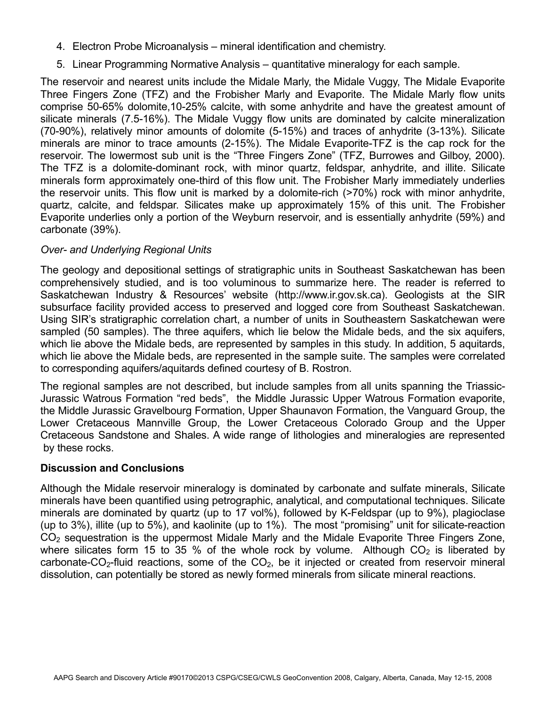- 4. Electron Probe Microanalysis mineral identification and chemistry.
- 5. Linear Programming Normative Analysis quantitative mineralogy for each sample.

The reservoir and nearest units include the Midale Marly, the Midale Vuggy, The Midale Evaporite Three Fingers Zone (TFZ) and the Frobisher Marly and Evaporite. The Midale Marly flow units comprise 50-65% dolomite,10-25% calcite, with some anhydrite and have the greatest amount of silicate minerals (7.5-16%). The Midale Vuggy flow units are dominated by calcite mineralization (70-90%), relatively minor amounts of dolomite (5-15%) and traces of anhydrite (3-13%). Silicate minerals are minor to trace amounts (2-15%). The Midale Evaporite-TFZ is the cap rock for the reservoir. The lowermost sub unit is the "Three Fingers Zone" (TFZ, Burrowes and Gilboy, 2000). The TFZ is a dolomite-dominant rock, with minor quartz, feldspar, anhydrite, and illite. Silicate minerals form approximately one-third of this flow unit. The Frobisher Marly immediately underlies the reservoir units. This flow unit is marked by a dolomite-rich (>70%) rock with minor anhydrite, quartz, calcite, and feldspar. Silicates make up approximately 15% of this unit. The Frobisher Evaporite underlies only a portion of the Weyburn reservoir, and is essentially anhydrite (59%) and carbonate (39%).

## *Over- and Underlying Regional Units*

The geology and depositional settings of stratigraphic units in Southeast Saskatchewan has been comprehensively studied, and is too voluminous to summarize here. The reader is referred to Saskatchewan Industry & Resources' website (http://www.ir.gov.sk.ca). Geologists at the SIR subsurface facility provided access to preserved and logged core from Southeast Saskatchewan. Using SIR's stratigraphic correlation chart, a number of units in Southeastern Saskatchewan were sampled (50 samples). The three aquifers, which lie below the Midale beds, and the six aquifers, which lie above the Midale beds, are represented by samples in this study. In addition, 5 aquitards, which lie above the Midale beds, are represented in the sample suite. The samples were correlated to corresponding aquifers/aquitards defined courtesy of B. Rostron.

The regional samples are not described, but include samples from all units spanning the Triassic-Jurassic Watrous Formation "red beds", the Middle Jurassic Upper Watrous Formation evaporite, the Middle Jurassic Gravelbourg Formation, Upper Shaunavon Formation, the Vanguard Group, the Lower Cretaceous Mannville Group, the Lower Cretaceous Colorado Group and the Upper Cretaceous Sandstone and Shales. A wide range of lithologies and mineralogies are represented by these rocks.

## **Discussion and Conclusions**

Although the Midale reservoir mineralogy is dominated by carbonate and sulfate minerals, Silicate minerals have been quantified using petrographic, analytical, and computational techniques. Silicate minerals are dominated by quartz (up to 17 vol%), followed by K-Feldspar (up to 9%), plagioclase (up to 3%), illite (up to 5%), and kaolinite (up to 1%). The most "promising" unit for silicate-reaction  $CO<sub>2</sub>$  sequestration is the uppermost Midale Marly and the Midale Evaporite Three Fingers Zone, where silicates form 15 to 35 % of the whole rock by volume. Although  $CO<sub>2</sub>$  is liberated by carbonate- $CO_2$ -fluid reactions, some of the  $CO_2$ , be it injected or created from reservoir mineral dissolution, can potentially be stored as newly formed minerals from silicate mineral reactions.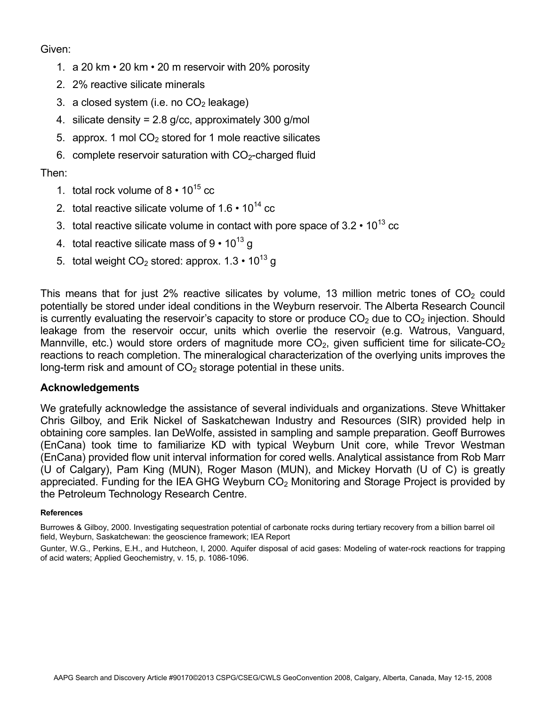Given:

- 1. a 20 km 20 km 20 m reservoir with 20% porosity
- 2. 2% reactive silicate minerals
- 3. a closed system (i.e. no  $CO<sub>2</sub>$  leakage)
- 4. silicate density = 2.8 g/cc, approximately 300 g/mol
- 5. approx. 1 mol  $CO<sub>2</sub>$  stored for 1 mole reactive silicates
- 6. complete reservoir saturation with  $CO<sub>2</sub>$ -charged fluid

# Then:

- 1. total rock volume of  $8 \cdot 10^{15}$  cc
- 2. total reactive silicate volume of  $1.6 \cdot 10^{14}$  cc
- 3. total reactive silicate volume in contact with pore space of  $3.2 \cdot 10^{13}$  cc
- 4. total reactive silicate mass of  $9 \cdot 10^{13}$  g
- 5. total weight  $CO<sub>2</sub>$  stored: approx. 1.3  $\cdot$  10<sup>13</sup> g

This means that for just 2% reactive silicates by volume, 13 million metric tones of  $CO<sub>2</sub>$  could potentially be stored under ideal conditions in the Weyburn reservoir. The Alberta Research Council is currently evaluating the reservoir's capacity to store or produce  $CO<sub>2</sub>$  due to  $CO<sub>2</sub>$  injection. Should leakage from the reservoir occur, units which overlie the reservoir (e.g. Watrous, Vanguard, Mannville, etc.) would store orders of magnitude more  $CO<sub>2</sub>$ , given sufficient time for silicate- $CO<sub>2</sub>$ reactions to reach completion. The mineralogical characterization of the overlying units improves the long-term risk and amount of  $CO<sub>2</sub>$  storage potential in these units.

## **Acknowledgements**

We gratefully acknowledge the assistance of several individuals and organizations. Steve Whittaker Chris Gilboy, and Erik Nickel of Saskatchewan Industry and Resources (SIR) provided help in obtaining core samples. Ian DeWolfe, assisted in sampling and sample preparation. Geoff Burrowes (EnCana) took time to familiarize KD with typical Weyburn Unit core, while Trevor Westman (EnCana) provided flow unit interval information for cored wells. Analytical assistance from Rob Marr (U of Calgary), Pam King (MUN), Roger Mason (MUN), and Mickey Horvath (U of C) is greatly appreciated. Funding for the IEA GHG Weyburn  $CO<sub>2</sub>$  Monitoring and Storage Project is provided by the Petroleum Technology Research Centre.

#### **References**

Burrowes & Gilboy, 2000. Investigating sequestration potential of carbonate rocks during tertiary recovery from a billion barrel oil field, Weyburn, Saskatchewan: the geoscience framework; IEA Report

Gunter, W.G., Perkins, E.H., and Hutcheon, I, 2000. Aquifer disposal of acid gases: Modeling of water-rock reactions for trapping of acid waters; Applied Geochemistry, v. 15, p. 1086-1096.